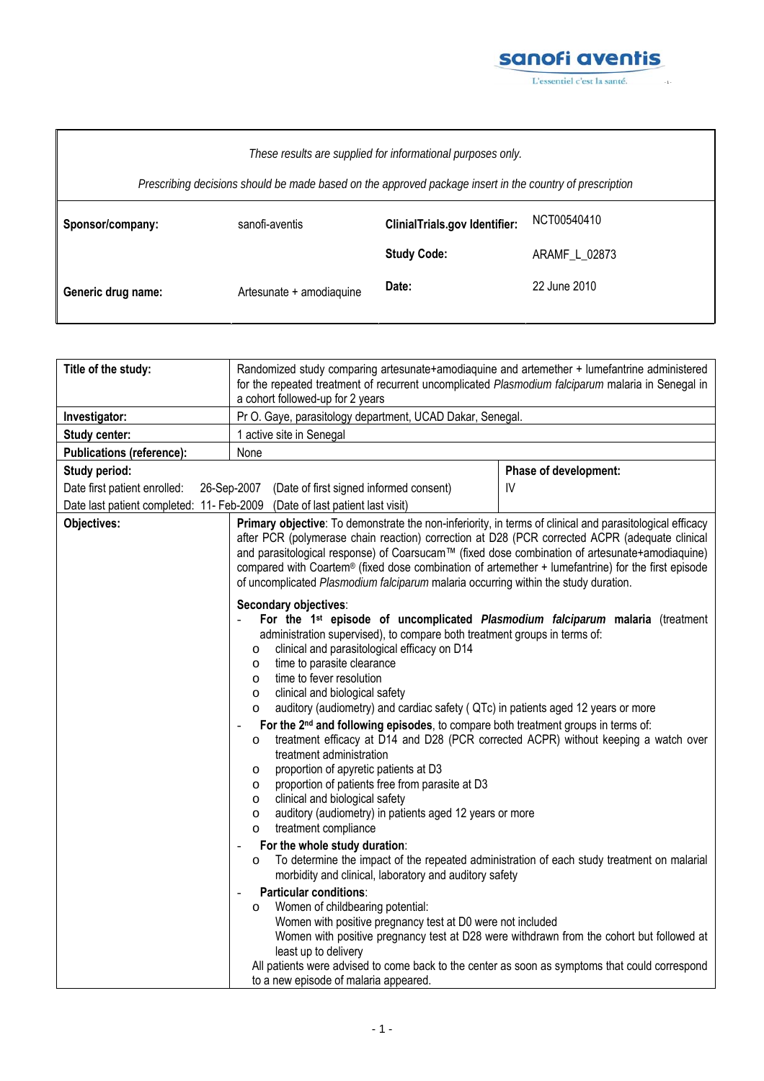

| These results are supplied for informational purposes only.<br>Prescribing decisions should be made based on the approved package insert in the country of prescription |                          |                                      |               |
|-------------------------------------------------------------------------------------------------------------------------------------------------------------------------|--------------------------|--------------------------------------|---------------|
| Sponsor/company:                                                                                                                                                        | sanofi-aventis           | <b>ClinialTrials.gov Identifier:</b> | NCT00540410   |
|                                                                                                                                                                         |                          | <b>Study Code:</b>                   | ARAMF L 02873 |
| Generic drug name:                                                                                                                                                      | Artesunate + amodiaquine | Date:                                | 22 June 2010  |

| Pr O. Gaye, parasitology department, UCAD Dakar, Senegal.<br>Investigator:<br>1 active site in Senegal<br><b>Study center:</b><br><b>Publications (reference):</b><br>None<br>Study period:<br>Phase of development:<br>26-Sep-2007 (Date of first signed informed consent)<br>IV<br>Date first patient enrolled:<br>Date last patient completed: 11- Feb-2009 (Date of last patient last visit)<br>Objectives:<br>of uncomplicated Plasmodium falciparum malaria occurring within the study duration.<br>Secondary objectives:<br>administration supervised), to compare both treatment groups in terms of:<br>clinical and parasitological efficacy on D14<br>$\circ$<br>time to parasite clearance<br>$\circ$<br>time to fever resolution<br>O<br>clinical and biological safety<br>$\circ$<br>$\circ$<br>treatment efficacy at D14 and D28 (PCR corrected ACPR) without keeping a watch over<br>O<br>treatment administration<br>proportion of apyretic patients at D3<br>O<br>proportion of patients free from parasite at D3<br>O<br>clinical and biological safety<br>O<br>auditory (audiometry) in patients aged 12 years or more<br>O | Randomized study comparing artesunate+amodiaquine and artemether + lumefantrine administered<br>for the repeated treatment of recurrent uncomplicated Plasmodium falciparum malaria in Senegal in<br>a cohort followed-up for 2 years                                                                                                                                                                              | Title of the study: |
|------------------------------------------------------------------------------------------------------------------------------------------------------------------------------------------------------------------------------------------------------------------------------------------------------------------------------------------------------------------------------------------------------------------------------------------------------------------------------------------------------------------------------------------------------------------------------------------------------------------------------------------------------------------------------------------------------------------------------------------------------------------------------------------------------------------------------------------------------------------------------------------------------------------------------------------------------------------------------------------------------------------------------------------------------------------------------------------------------------------------------------------------|--------------------------------------------------------------------------------------------------------------------------------------------------------------------------------------------------------------------------------------------------------------------------------------------------------------------------------------------------------------------------------------------------------------------|---------------------|
|                                                                                                                                                                                                                                                                                                                                                                                                                                                                                                                                                                                                                                                                                                                                                                                                                                                                                                                                                                                                                                                                                                                                                |                                                                                                                                                                                                                                                                                                                                                                                                                    |                     |
|                                                                                                                                                                                                                                                                                                                                                                                                                                                                                                                                                                                                                                                                                                                                                                                                                                                                                                                                                                                                                                                                                                                                                |                                                                                                                                                                                                                                                                                                                                                                                                                    |                     |
|                                                                                                                                                                                                                                                                                                                                                                                                                                                                                                                                                                                                                                                                                                                                                                                                                                                                                                                                                                                                                                                                                                                                                |                                                                                                                                                                                                                                                                                                                                                                                                                    |                     |
|                                                                                                                                                                                                                                                                                                                                                                                                                                                                                                                                                                                                                                                                                                                                                                                                                                                                                                                                                                                                                                                                                                                                                |                                                                                                                                                                                                                                                                                                                                                                                                                    |                     |
|                                                                                                                                                                                                                                                                                                                                                                                                                                                                                                                                                                                                                                                                                                                                                                                                                                                                                                                                                                                                                                                                                                                                                |                                                                                                                                                                                                                                                                                                                                                                                                                    |                     |
|                                                                                                                                                                                                                                                                                                                                                                                                                                                                                                                                                                                                                                                                                                                                                                                                                                                                                                                                                                                                                                                                                                                                                |                                                                                                                                                                                                                                                                                                                                                                                                                    |                     |
|                                                                                                                                                                                                                                                                                                                                                                                                                                                                                                                                                                                                                                                                                                                                                                                                                                                                                                                                                                                                                                                                                                                                                | Primary objective: To demonstrate the non-inferiority, in terms of clinical and parasitological efficacy<br>after PCR (polymerase chain reaction) correction at D28 (PCR corrected ACPR (adequate clinical<br>and parasitological response) of Coarsucam™ (fixed dose combination of artesunate+amodiaquine)<br>compared with Coartem® (fixed dose combination of artemether + lumefantrine) for the first episode |                     |
|                                                                                                                                                                                                                                                                                                                                                                                                                                                                                                                                                                                                                                                                                                                                                                                                                                                                                                                                                                                                                                                                                                                                                | For the 1 <sup>st</sup> episode of uncomplicated Plasmodium falciparum malaria (treatment<br>auditory (audiometry) and cardiac safety (QTc) in patients aged 12 years or more<br>For the 2 <sup>nd</sup> and following episodes, to compare both treatment groups in terms of:                                                                                                                                     |                     |
| $\circ$                                                                                                                                                                                                                                                                                                                                                                                                                                                                                                                                                                                                                                                                                                                                                                                                                                                                                                                                                                                                                                                                                                                                        | treatment compliance                                                                                                                                                                                                                                                                                                                                                                                               |                     |
| For the whole study duration:                                                                                                                                                                                                                                                                                                                                                                                                                                                                                                                                                                                                                                                                                                                                                                                                                                                                                                                                                                                                                                                                                                                  |                                                                                                                                                                                                                                                                                                                                                                                                                    |                     |
| $\circ$<br>morbidity and clinical, laboratory and auditory safety                                                                                                                                                                                                                                                                                                                                                                                                                                                                                                                                                                                                                                                                                                                                                                                                                                                                                                                                                                                                                                                                              | To determine the impact of the repeated administration of each study treatment on malarial                                                                                                                                                                                                                                                                                                                         |                     |
| Particular conditions:<br>Women of childbearing potential:<br>$\circ$<br>Women with positive pregnancy test at D0 were not included<br>least up to delivery<br>to a new episode of malaria appeared.                                                                                                                                                                                                                                                                                                                                                                                                                                                                                                                                                                                                                                                                                                                                                                                                                                                                                                                                           | Women with positive pregnancy test at D28 were withdrawn from the cohort but followed at<br>All patients were advised to come back to the center as soon as symptoms that could correspond                                                                                                                                                                                                                         |                     |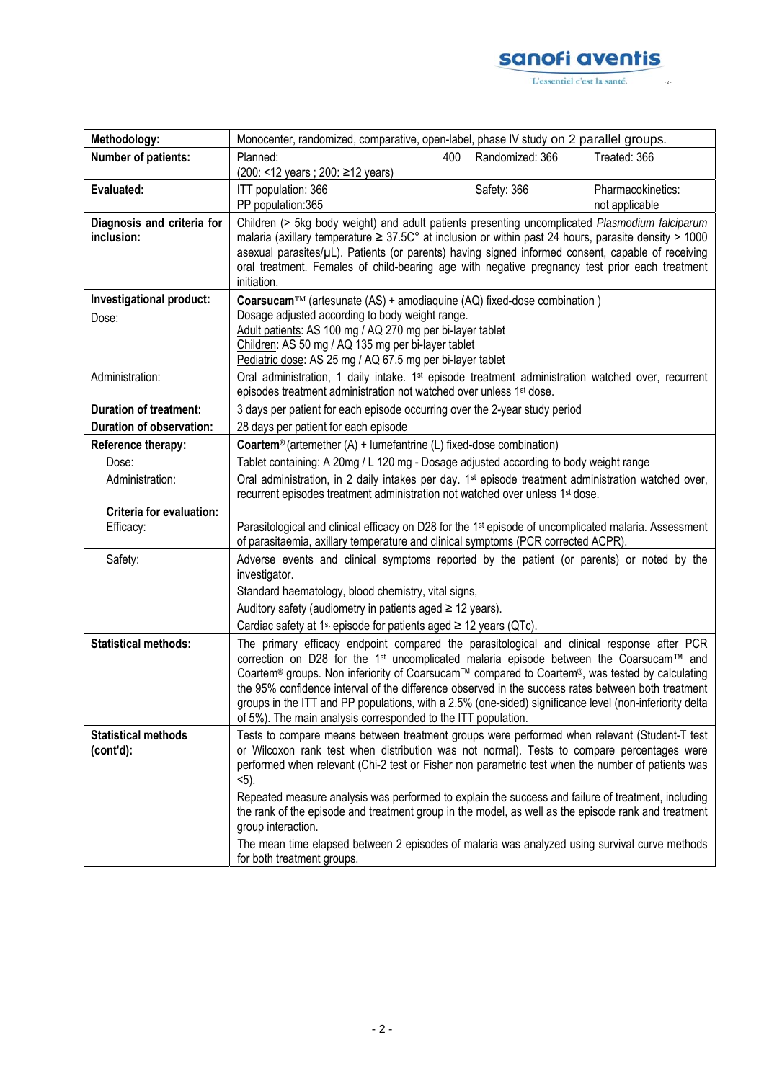

| Methodology:                             | Monocenter, randomized, comparative, open-label, phase IV study on 2 parallel groups.                                                                                                                                                                                                                                                                                                                                                                                                                                                                                                |                 |                                     |
|------------------------------------------|--------------------------------------------------------------------------------------------------------------------------------------------------------------------------------------------------------------------------------------------------------------------------------------------------------------------------------------------------------------------------------------------------------------------------------------------------------------------------------------------------------------------------------------------------------------------------------------|-----------------|-------------------------------------|
| <b>Number of patients:</b>               | Planned:<br>400<br>(200: <12 years ; 200: ≥12 years)                                                                                                                                                                                                                                                                                                                                                                                                                                                                                                                                 | Randomized: 366 | Treated: 366                        |
| Evaluated:                               | ITT population: 366<br>PP population:365                                                                                                                                                                                                                                                                                                                                                                                                                                                                                                                                             | Safety: 366     | Pharmacokinetics:<br>not applicable |
| Diagnosis and criteria for<br>inclusion: | Children (> 5kg body weight) and adult patients presenting uncomplicated Plasmodium falciparum<br>malaria (axillary temperature $\geq 37.5C^{\circ}$ at inclusion or within past 24 hours, parasite density > 1000<br>asexual parasites/µL). Patients (or parents) having signed informed consent, capable of receiving<br>oral treatment. Females of child-bearing age with negative pregnancy test prior each treatment<br>initiation.                                                                                                                                             |                 |                                     |
| Investigational product:<br>Dose:        | Coarsucam™ (artesunate (AS) + amodiaquine (AQ) fixed-dose combination)<br>Dosage adjusted according to body weight range.<br>Adult patients: AS 100 mg / AQ 270 mg per bi-layer tablet<br>Children: AS 50 mg / AQ 135 mg per bi-layer tablet<br>Pediatric dose: AS 25 mg / AQ 67.5 mg per bi-layer tablet                                                                                                                                                                                                                                                                            |                 |                                     |
| Administration:                          | Oral administration, 1 daily intake. 1 <sup>st</sup> episode treatment administration watched over, recurrent<br>episodes treatment administration not watched over unless 1 <sup>st</sup> dose.                                                                                                                                                                                                                                                                                                                                                                                     |                 |                                     |
| <b>Duration of treatment:</b>            | 3 days per patient for each episode occurring over the 2-year study period                                                                                                                                                                                                                                                                                                                                                                                                                                                                                                           |                 |                                     |
| <b>Duration of observation:</b>          | 28 days per patient for each episode                                                                                                                                                                                                                                                                                                                                                                                                                                                                                                                                                 |                 |                                     |
| Reference therapy:                       | <b>Coartem<sup>®</sup></b> (artemether $(A)$ + lumefantrine $(L)$ fixed-dose combination)                                                                                                                                                                                                                                                                                                                                                                                                                                                                                            |                 |                                     |
| Dose:                                    | Tablet containing: A 20mg / L 120 mg - Dosage adjusted according to body weight range                                                                                                                                                                                                                                                                                                                                                                                                                                                                                                |                 |                                     |
| Administration:                          | Oral administration, in 2 daily intakes per day. 1 <sup>st</sup> episode treatment administration watched over,<br>recurrent episodes treatment administration not watched over unless 1 <sup>st</sup> dose.                                                                                                                                                                                                                                                                                                                                                                         |                 |                                     |
| Criteria for evaluation:<br>Efficacy:    | Parasitological and clinical efficacy on D28 for the 1 <sup>st</sup> episode of uncomplicated malaria. Assessment<br>of parasitaemia, axillary temperature and clinical symptoms (PCR corrected ACPR).                                                                                                                                                                                                                                                                                                                                                                               |                 |                                     |
| Safety:                                  | Adverse events and clinical symptoms reported by the patient (or parents) or noted by the<br>investigator.                                                                                                                                                                                                                                                                                                                                                                                                                                                                           |                 |                                     |
|                                          | Standard haematology, blood chemistry, vital signs,                                                                                                                                                                                                                                                                                                                                                                                                                                                                                                                                  |                 |                                     |
|                                          | Auditory safety (audiometry in patients aged $\geq$ 12 years).                                                                                                                                                                                                                                                                                                                                                                                                                                                                                                                       |                 |                                     |
|                                          | Cardiac safety at 1 <sup>st</sup> episode for patients aged $\geq$ 12 years (QTc).                                                                                                                                                                                                                                                                                                                                                                                                                                                                                                   |                 |                                     |
| <b>Statistical methods:</b>              | The primary efficacy endpoint compared the parasitological and clinical response after PCR<br>correction on D28 for the 1 <sup>st</sup> uncomplicated malaria episode between the Coarsucam™ and<br>Coartem® groups. Non inferiority of Coarsucam™ compared to Coartem®, was tested by calculating<br>the 95% confidence interval of the difference observed in the success rates between both treatment<br>groups in the ITT and PP populations, with a 2.5% (one-sided) significance level (non-inferiority delta<br>of 5%). The main analysis corresponded to the ITT population. |                 |                                     |
| <b>Statistical methods</b><br>(cont'd):  | Tests to compare means between treatment groups were performed when relevant (Student-T test<br>or Wilcoxon rank test when distribution was not normal). Tests to compare percentages were<br>performed when relevant (Chi-2 test or Fisher non parametric test when the number of patients was<br>$5$ .<br>Repeated measure analysis was performed to explain the success and failure of treatment, including                                                                                                                                                                       |                 |                                     |
|                                          | the rank of the episode and treatment group in the model, as well as the episode rank and treatment<br>group interaction.                                                                                                                                                                                                                                                                                                                                                                                                                                                            |                 |                                     |
|                                          | The mean time elapsed between 2 episodes of malaria was analyzed using survival curve methods<br>for both treatment groups.                                                                                                                                                                                                                                                                                                                                                                                                                                                          |                 |                                     |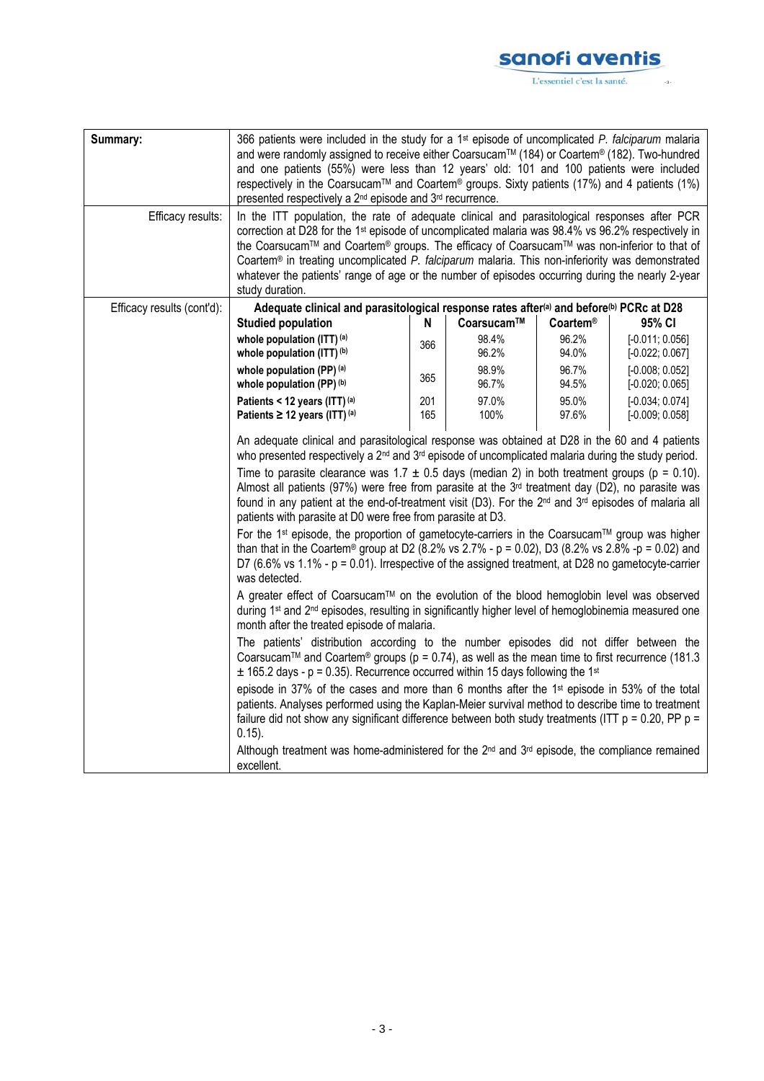## sanofi aventis  $-$  3 -

L'essentiel c'est la santé.

| Summary:<br>Efficacy results: | 366 patients were included in the study for a 1 <sup>st</sup> episode of uncomplicated <i>P. falciparum</i> malaria<br>and were randomly assigned to receive either Coarsucam™ (184) or Coartem® (182). Two-hundred<br>and one patients (55%) were less than 12 years' old: 101 and 100 patients were included<br>respectively in the Coarsucam™ and Coartem® groups. Sixty patients (17%) and 4 patients (1%)<br>presented respectively a 2 <sup>nd</sup> episode and 3 <sup>rd</sup> recurrence.<br>In the ITT population, the rate of adequate clinical and parasitological responses after PCR<br>correction at D28 for the 1 <sup>st</sup> episode of uncomplicated malaria was 98.4% vs 96.2% respectively in<br>the Coarsucam™ and Coartem® groups. The efficacy of Coarsucam™ was non-inferior to that of<br>Coartem® in treating uncomplicated P. falciparum malaria. This non-inferiority was demonstrated<br>whatever the patients' range of age or the number of episodes occurring during the nearly 2-year                                                                                                                                                                                                                                                                                                                                                                                                                                                                                                                                                                                                                                                                                                                                                                                                                                                                                                                                                                                                                                        |            |                |                 |                                        |
|-------------------------------|-----------------------------------------------------------------------------------------------------------------------------------------------------------------------------------------------------------------------------------------------------------------------------------------------------------------------------------------------------------------------------------------------------------------------------------------------------------------------------------------------------------------------------------------------------------------------------------------------------------------------------------------------------------------------------------------------------------------------------------------------------------------------------------------------------------------------------------------------------------------------------------------------------------------------------------------------------------------------------------------------------------------------------------------------------------------------------------------------------------------------------------------------------------------------------------------------------------------------------------------------------------------------------------------------------------------------------------------------------------------------------------------------------------------------------------------------------------------------------------------------------------------------------------------------------------------------------------------------------------------------------------------------------------------------------------------------------------------------------------------------------------------------------------------------------------------------------------------------------------------------------------------------------------------------------------------------------------------------------------------------------------------------------------------------------------------|------------|----------------|-----------------|----------------------------------------|
|                               | study duration.                                                                                                                                                                                                                                                                                                                                                                                                                                                                                                                                                                                                                                                                                                                                                                                                                                                                                                                                                                                                                                                                                                                                                                                                                                                                                                                                                                                                                                                                                                                                                                                                                                                                                                                                                                                                                                                                                                                                                                                                                                                 |            |                |                 |                                        |
| Efficacy results (cont'd):    | Adequate clinical and parasitological response rates after <sup>(a)</sup> and before <sup>(b)</sup> PCRc at D28                                                                                                                                                                                                                                                                                                                                                                                                                                                                                                                                                                                                                                                                                                                                                                                                                                                                                                                                                                                                                                                                                                                                                                                                                                                                                                                                                                                                                                                                                                                                                                                                                                                                                                                                                                                                                                                                                                                                                 |            |                |                 |                                        |
|                               | <b>Studied population</b>                                                                                                                                                                                                                                                                                                                                                                                                                                                                                                                                                                                                                                                                                                                                                                                                                                                                                                                                                                                                                                                                                                                                                                                                                                                                                                                                                                                                                                                                                                                                                                                                                                                                                                                                                                                                                                                                                                                                                                                                                                       | N          | Coarsucam™     | <b>Coartem®</b> | 95% CI                                 |
|                               | whole population (ITT) (a)<br>whole population (ITT) (b)                                                                                                                                                                                                                                                                                                                                                                                                                                                                                                                                                                                                                                                                                                                                                                                                                                                                                                                                                                                                                                                                                                                                                                                                                                                                                                                                                                                                                                                                                                                                                                                                                                                                                                                                                                                                                                                                                                                                                                                                        | 366        | 98.4%<br>96.2% | 96.2%<br>94.0%  | $[-0.011; 0.056]$<br>$[-0.022; 0.067]$ |
|                               | whole population $(PP)^{(a)}$<br>whole population (PP) (b)                                                                                                                                                                                                                                                                                                                                                                                                                                                                                                                                                                                                                                                                                                                                                                                                                                                                                                                                                                                                                                                                                                                                                                                                                                                                                                                                                                                                                                                                                                                                                                                                                                                                                                                                                                                                                                                                                                                                                                                                      | 365        | 98.9%<br>96.7% | 96.7%<br>94.5%  | $[-0.008; 0.052]$<br>$[-0.020; 0.065]$ |
|                               | Patients < 12 years (ITT) (a)<br>Patients $\geq$ 12 years (ITT) (a)                                                                                                                                                                                                                                                                                                                                                                                                                                                                                                                                                                                                                                                                                                                                                                                                                                                                                                                                                                                                                                                                                                                                                                                                                                                                                                                                                                                                                                                                                                                                                                                                                                                                                                                                                                                                                                                                                                                                                                                             | 201<br>165 | 97.0%<br>100%  | 95.0%<br>97.6%  | $[-0.034; 0.074]$<br>$[-0.009; 0.058]$ |
|                               | An adequate clinical and parasitological response was obtained at D28 in the 60 and 4 patients<br>who presented respectively a $2^{nd}$ and $3^{rd}$ episode of uncomplicated malaria during the study period.<br>Time to parasite clearance was $1.7 \pm 0.5$ days (median 2) in both treatment groups (p = 0.10).<br>Almost all patients (97%) were free from parasite at the $3rd$ treatment day (D2), no parasite was<br>found in any patient at the end-of-treatment visit (D3). For the 2 <sup>nd</sup> and 3 <sup>rd</sup> episodes of malaria all<br>patients with parasite at D0 were free from parasite at D3.<br>For the 1 <sup>st</sup> episode, the proportion of gametocyte-carriers in the Coarsucam <sup>™</sup> group was higher<br>than that in the Coartem® group at D2 (8.2% vs 2.7% - $p = 0.02$ ), D3 (8.2% vs 2.8% - $p = 0.02$ ) and<br>D7 (6.6% vs 1.1% - $p = 0.01$ ). Irrespective of the assigned treatment, at D28 no gametocyte-carrier<br>was detected.<br>A greater effect of Coarsucam™ on the evolution of the blood hemoglobin level was observed<br>during 1 <sup>st</sup> and 2 <sup>nd</sup> episodes, resulting in significantly higher level of hemoglobinemia measured one<br>month after the treated episode of malaria.<br>The patients' distribution according to the number episodes did not differ between the<br>Coarsucam <sup>™</sup> and Coartem <sup>®</sup> groups ( $p = 0.74$ ), as well as the mean time to first recurrence (181.3<br>$\pm$ 165.2 days - p = 0.35). Recurrence occurred within 15 days following the 1 <sup>st</sup><br>episode in 37% of the cases and more than 6 months after the 1 <sup>st</sup> episode in 53% of the total<br>patients. Analyses performed using the Kaplan-Meier survival method to describe time to treatment<br>failure did not show any significant difference between both study treatments (ITT $p = 0.20$ , PP $p =$<br>$0.15$ ).<br>Although treatment was home-administered for the $2^{nd}$ and $3^{rd}$ episode, the compliance remained<br>excellent. |            |                |                 |                                        |